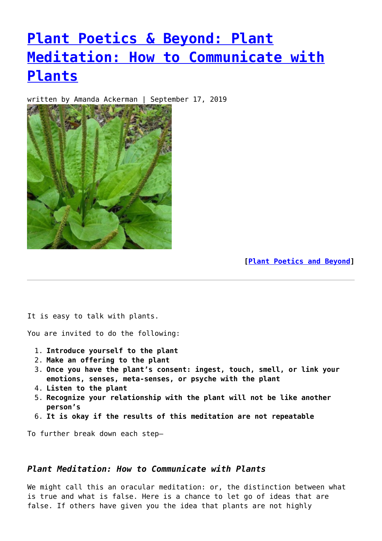# **[Plant Poetics & Beyond: Plant](https://entropymag.org/plant-poetics-beyond-plant-meditation-how-to-communicate-with-plants/) [Meditation: How to Communicate with](https://entropymag.org/plant-poetics-beyond-plant-meditation-how-to-communicate-with-plants/) [Plants](https://entropymag.org/plant-poetics-beyond-plant-meditation-how-to-communicate-with-plants/)**

written by Amanda Ackerman | September 17, 2019



**[\[Plant Poetics and Beyond](https://entropymag.org/tag/plant-poetics-and-beyond/)]**

It is easy to talk with plants.

You are invited to do the following:

- 1. **Introduce yourself to the plant**
- 2. **Make an offering to the plant**
- 3. **Once you have the plant's consent: ingest, touch, smell, or link your emotions, senses, meta-senses, or psyche with the plant**
- 4. **Listen to the plant**
- 5. **Recognize your relationship with the plant will not be like another person's**
- 6. **It is okay if the results of this meditation are not repeatable**

To further break down each step—

## *Plant Meditation: How to Communicate with Plants*

We might call this an oracular meditation: or, the distinction between what is true and what is false. Here is a chance to let go of ideas that are false. If others have given you the idea that plants are not highly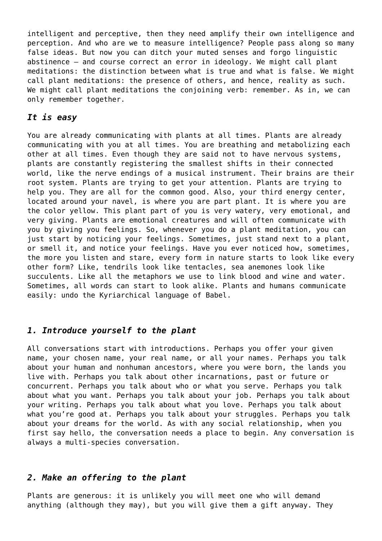intelligent and perceptive, then they need amplify their own intelligence and perception. And who are we to measure intelligence? People pass along so many false ideas. But now you can ditch your muted senses and forgo linguistic abstinence – and course correct an error in ideology. We might call plant meditations: the distinction between what is true and what is false. We might call plant meditations: the presence of others, and hence, reality as such. We might call plant meditations the conjoining verb: remember. As in, we can only remember together.

### *It is easy*

You are already communicating with plants at all times. Plants are already communicating with you at all times. You are breathing and metabolizing each other at all times. Even though they are said not to have nervous systems, plants are constantly registering the smallest shifts in their connected world, like the nerve endings of a musical instrument. Their brains are their root system. Plants are trying to get your attention. Plants are trying to help you. They are all for the common good. Also, your third energy center, located around your navel, is where you are part plant. It is where you are the color yellow. This plant part of you is very watery, very emotional, and very giving. Plants are emotional creatures and will often communicate with you by giving you feelings. So, whenever you do a plant meditation, you can just start by noticing your feelings. Sometimes, just stand next to a plant, or smell it, and notice your feelings. Have you ever noticed how, sometimes, the more you listen and stare, every form in nature starts to look like every other form? Like, tendrils look like tentacles, sea anemones look like succulents. Like all the metaphors we use to link blood and wine and water. Sometimes, all words can start to look alike. Plants and humans communicate easily: undo the Kyriarchical language of Babel.

#### *1. Introduce yourself to the plant*

All conversations start with introductions. Perhaps you offer your given name, your chosen name, your real name, or all your names. Perhaps you talk about your human and nonhuman ancestors, where you were born, the lands you live with. Perhaps you talk about other incarnations, past or future or concurrent. Perhaps you talk about who or what you serve. Perhaps you talk about what you want. Perhaps you talk about your job. Perhaps you talk about your writing. Perhaps you talk about what you love. Perhaps you talk about what you're good at. Perhaps you talk about your struggles. Perhaps you talk about your dreams for the world. As with any social relationship, when you first say hello, the conversation needs a place to begin. Any conversation is always a multi-species conversation.

#### *2. Make an offering to the plant*

Plants are generous: it is unlikely you will meet one who will demand anything (although they may), but you will give them a gift anyway. They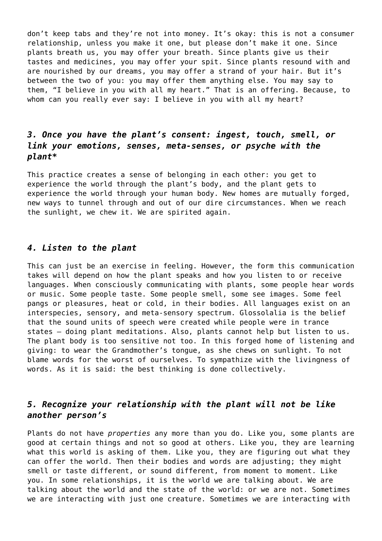don't keep tabs and they're not into money. It's okay: this is not a consumer relationship, unless you make it one, but please don't make it one. Since plants breath us, you may offer your breath. Since plants give us their tastes and medicines, you may offer your spit. Since plants resound with and are nourished by our dreams, you may offer a strand of your hair. But it's between the two of you: you may offer them anything else. You may say to them, "I believe in you with all my heart." That is an offering. Because, to whom can you really ever say: I believe in you with all my heart?

# *3. Once you have the plant's consent: ingest, touch, smell, or link your emotions, senses, meta-senses, or psyche with the plant\**

This practice creates a sense of belonging in each other: you get to experience the world through the plant's body, and the plant gets to experience the world through your human body. New homes are mutually forged, new ways to tunnel through and out of our dire circumstances. When we reach the sunlight, we chew it. We are spirited again.

#### *4. Listen to the plant*

This can just be an exercise in feeling. However, the form this communication takes will depend on how the plant speaks and how you listen to or receive languages. When consciously communicating with plants, some people hear words or music. Some people taste. Some people smell, some see images. Some feel pangs or pleasures, heat or cold, in their bodies. All languages exist on an interspecies, sensory, and meta-sensory spectrum. Glossolalia is the belief that the sound units of speech were created while people were in trance states – doing plant meditations. Also, plants cannot help but listen to us. The plant body is too sensitive not too. In this forged home of listening and giving: to wear the Grandmother's tongue, as she chews on sunlight. To not blame words for the worst of ourselves. To sympathize with the livingness of words. As it is said: the best thinking is done collectively.

## *5. Recognize your relationship with the plant will not be like another person's*

Plants do not have *properties* any more than you do. Like you, some plants are good at certain things and not so good at others. Like you, they are learning what this world is asking of them. Like you, they are figuring out what they can offer the world. Then their bodies and words are adjusting; they might smell or taste different, or sound different, from moment to moment. Like you. In some relationships, it is the world we are talking about. We are talking about the world and the state of the world: or we are not. Sometimes we are interacting with just one creature. Sometimes we are interacting with